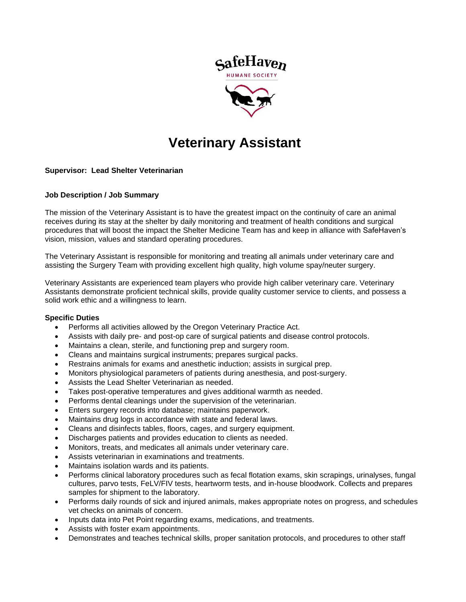

# **Veterinary Assistant**

## **Supervisor: Lead Shelter Veterinarian**

## **Job Description / Job Summary**

The mission of the Veterinary Assistant is to have the greatest impact on the continuity of care an animal receives during its stay at the shelter by daily monitoring and treatment of health conditions and surgical procedures that will boost the impact the Shelter Medicine Team has and keep in alliance with SafeHaven's vision, mission, values and standard operating procedures.

The Veterinary Assistant is responsible for monitoring and treating all animals under veterinary care and assisting the Surgery Team with providing excellent high quality, high volume spay/neuter surgery.

Veterinary Assistants are experienced team players who provide high caliber veterinary care. Veterinary Assistants demonstrate proficient technical skills, provide quality customer service to clients, and possess a solid work ethic and a willingness to learn.

## **Specific Duties**

- Performs all activities allowed by the Oregon Veterinary Practice Act.
- Assists with daily pre- and post-op care of surgical patients and disease control protocols.
- Maintains a clean, sterile, and functioning prep and surgery room.
- Cleans and maintains surgical instruments; prepares surgical packs.
- Restrains animals for exams and anesthetic induction; assists in surgical prep.
- Monitors physiological parameters of patients during anesthesia, and post-surgery.
- Assists the Lead Shelter Veterinarian as needed.
- Takes post-operative temperatures and gives additional warmth as needed.
- Performs dental cleanings under the supervision of the veterinarian.
- Enters surgery records into database; maintains paperwork.
- Maintains drug logs in accordance with state and federal laws.
- Cleans and disinfects tables, floors, cages, and surgery equipment.
- Discharges patients and provides education to clients as needed.
- Monitors, treats, and medicates all animals under veterinary care.
- Assists veterinarian in examinations and treatments.
- Maintains isolation wards and its patients.
- Performs clinical laboratory procedures such as fecal flotation exams, skin scrapings, urinalyses, fungal cultures, parvo tests, FeLV/FIV tests, heartworm tests, and in-house bloodwork. Collects and prepares samples for shipment to the laboratory.
- Performs daily rounds of sick and injured animals, makes appropriate notes on progress, and schedules vet checks on animals of concern.
- Inputs data into Pet Point regarding exams, medications, and treatments.
- Assists with foster exam appointments.
- Demonstrates and teaches technical skills, proper sanitation protocols, and procedures to other staff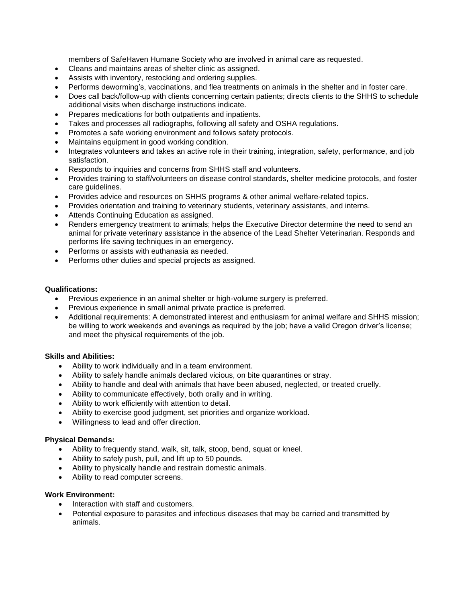members of SafeHaven Humane Society who are involved in animal care as requested.

- Cleans and maintains areas of shelter clinic as assigned.
- Assists with inventory, restocking and ordering supplies.
- Performs deworming's, vaccinations, and flea treatments on animals in the shelter and in foster care.
- Does call back/follow-up with clients concerning certain patients; directs clients to the SHHS to schedule additional visits when discharge instructions indicate.
- Prepares medications for both outpatients and inpatients.
- Takes and processes all radiographs, following all safety and OSHA regulations.
- Promotes a safe working environment and follows safety protocols.
- Maintains equipment in good working condition.
- Integrates volunteers and takes an active role in their training, integration, safety, performance, and job satisfaction.
- Responds to inquiries and concerns from SHHS staff and volunteers.
- Provides training to staff/volunteers on disease control standards, shelter medicine protocols, and foster care guidelines.
- Provides advice and resources on SHHS programs & other animal welfare-related topics.
- Provides orientation and training to veterinary students, veterinary assistants, and interns.
- Attends Continuing Education as assigned.
- Renders emergency treatment to animals; helps the Executive Director determine the need to send an animal for private veterinary assistance in the absence of the Lead Shelter Veterinarian. Responds and performs life saving techniques in an emergency.
- Performs or assists with euthanasia as needed.
- Performs other duties and special projects as assigned.

## **Qualifications:**

- Previous experience in an animal shelter or high-volume surgery is preferred.
- Previous experience in small animal private practice is preferred.
- Additional requirements: A demonstrated interest and enthusiasm for animal welfare and SHHS mission; be willing to work weekends and evenings as required by the job; have a valid Oregon driver's license; and meet the physical requirements of the job.

## **Skills and Abilities:**

- Ability to work individually and in a team environment.
- Ability to safely handle animals declared vicious, on bite quarantines or stray.
- Ability to handle and deal with animals that have been abused, neglected, or treated cruelly.
- Ability to communicate effectively, both orally and in writing.
- Ability to work efficiently with attention to detail.
- Ability to exercise good judgment, set priorities and organize workload.
- Willingness to lead and offer direction.

## **Physical Demands:**

- Ability to frequently stand, walk, sit, talk, stoop, bend, squat or kneel.
- Ability to safely push, pull, and lift up to 50 pounds.
- Ability to physically handle and restrain domestic animals.
- Ability to read computer screens.

## **Work Environment:**

- Interaction with staff and customers.
- Potential exposure to parasites and infectious diseases that may be carried and transmitted by animals.